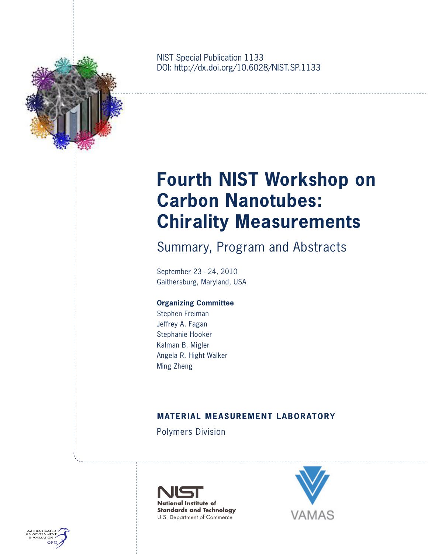

NIST Special Publication 1133 DOI: http://dx.doi.org/10.6028/NIST.SP.1133

# **Fourth NIST Workshop on Carbon Nanotubes: Chirality Measurements**

Summary, Program and Abstracts

September 23 - 24, 2010 Gaithersburg, Maryland, USA

## **Organizing Committee**

Stephen Freiman Jeffrey A. Fagan Stephanie Hooker Kalman B. Migler Angela R. Hight Walker Ming Zheng

## **MATERIAL MEASUREMENT LABORATORY**

Polymers Division





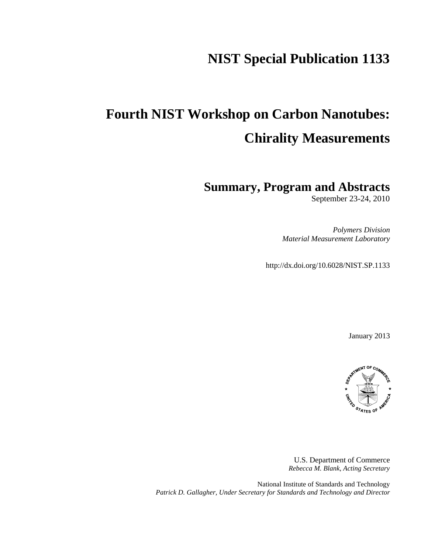# **NIST Special Publication 1133**

# **Fourth NIST Workshop on Carbon Nanotubes: Chirality Measurements**

**Summary, Program and Abstracts**

September 23-24, 2010

*Polymers Division Material Measurement Laboratory*

http://dx.doi.org/10.6028/NIST.SP.1133

January 2013



U.S. Department of Commerce *Rebecca M. Blank, Acting Secretary*

National Institute of Standards and Technology *Patrick D. Gallagher, Under Secretary for Standards and Technology and Director*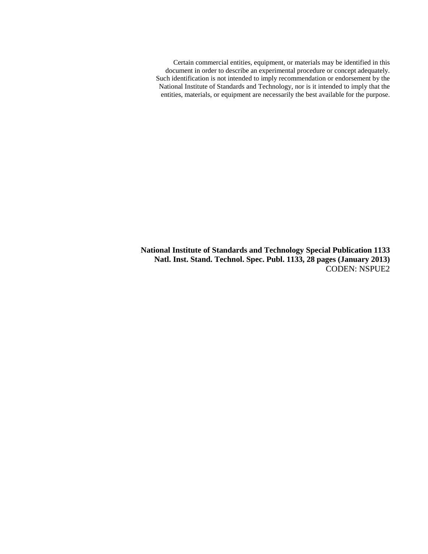Certain commercial entities, equipment, or materials may be identified in this document in order to describe an experimental procedure or concept adequately. Such identification is not intended to imply recommendation or endorsement by the National Institute of Standards and Technology, nor is it intended to imply that the entities, materials, or equipment are necessarily the best available for the purpose.

**National Institute of Standards and Technology Special Publication 1133 Natl. Inst. Stand. Technol. Spec. Publ. 1133, 28 pages (January 2013)**  CODEN: NSPUE2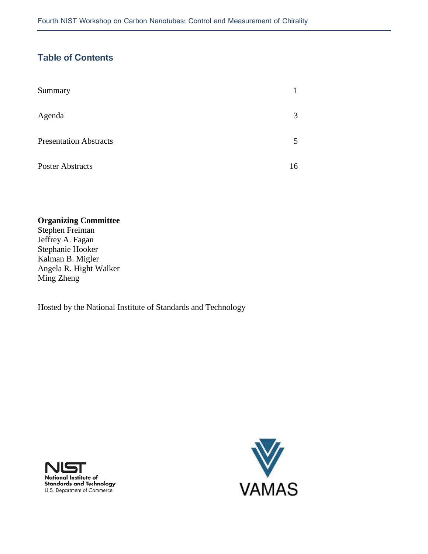## **Table of Contents**

| Summary                       |    |
|-------------------------------|----|
| Agenda                        | 3  |
| <b>Presentation Abstracts</b> |    |
| <b>Poster Abstracts</b>       | 16 |

## **Organizing Committee**

Stephen Freiman Jeffrey A. Fagan Stephanie Hooker Kalman B. Migler Angela R. Hight Walker Ming Zheng

Hosted by the National Institute of Standards and Technology



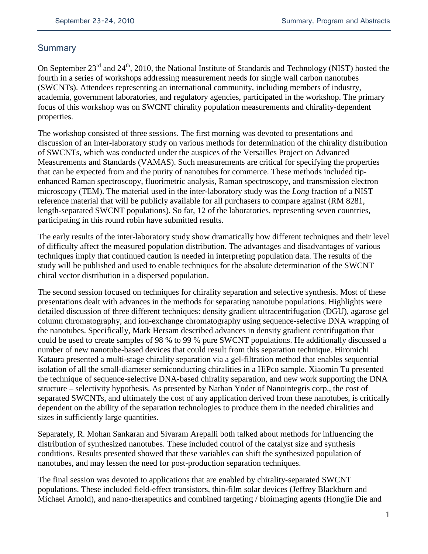## **Summary**

On September 23<sup>rd</sup> and 24<sup>th</sup>, 2010, the National Institute of Standards and Technology (NIST) hosted the fourth in a series of workshops addressing measurement needs for single wall carbon nanotubes (SWCNTs). Attendees representing an international community, including members of industry, academia, government laboratories, and regulatory agencies, participated in the workshop. The primary focus of this workshop was on SWCNT chirality population measurements and chirality-dependent properties.

The workshop consisted of three sessions. The first morning was devoted to presentations and discussion of an inter-laboratory study on various methods for determination of the chirality distribution of SWCNTs, which was conducted under the auspices of the Versailles Project on Advanced Measurements and Standards (VAMAS). Such measurements are critical for specifying the properties that can be expected from and the purity of nanotubes for commerce. These methods included tipenhanced Raman spectroscopy, fluorimetric analysis, Raman spectroscopy, and transmission electron microscopy (TEM). The material used in the inter-laboratory study was the *Long* fraction of a NIST reference material that will be publicly available for all purchasers to compare against (RM 8281, length-separated SWCNT populations). So far, 12 of the laboratories, representing seven countries, participating in this round robin have submitted results.

The early results of the inter-laboratory study show dramatically how different techniques and their level of difficulty affect the measured population distribution. The advantages and disadvantages of various techniques imply that continued caution is needed in interpreting population data. The results of the study will be published and used to enable techniques for the absolute determination of the SWCNT chiral vector distribution in a dispersed population.

The second session focused on techniques for chirality separation and selective synthesis. Most of these presentations dealt with advances in the methods for separating nanotube populations. Highlights were detailed discussion of three different techniques: density gradient ultracentrifugation (DGU), agarose gel column chromatography, and ion-exchange chromatography using sequence-selective DNA wrapping of the nanotubes. Specifically, Mark Hersam described advances in density gradient centrifugation that could be used to create samples of 98 % to 99 % pure SWCNT populations. He additionally discussed a number of new nanotube-based devices that could result from this separation technique. Hiromichi Kataura presented a multi-stage chirality separation via a gel-filtration method that enables sequential isolation of all the small-diameter semiconducting chiralities in a HiPco sample. Xiaomin Tu presented the technique of sequence-selective DNA-based chirality separation, and new work supporting the DNA structure – selectivity hypothesis. As presented by Nathan Yoder of Nanointegris corp., the cost of separated SWCNTs, and ultimately the cost of any application derived from these nanotubes, is critically dependent on the ability of the separation technologies to produce them in the needed chiralities and sizes in sufficiently large quantities.

Separately, R. Mohan Sankaran and Sivaram Arepalli both talked about methods for influencing the distribution of synthesized nanotubes. These included control of the catalyst size and synthesis conditions. Results presented showed that these variables can shift the synthesized population of nanotubes, and may lessen the need for post-production separation techniques.

The final session was devoted to applications that are enabled by chirality-separated SWCNT populations. These included field-effect transistors, thin-film solar devices (Jeffrey Blackburn and Michael Arnold), and nano-therapeutics and combined targeting / bioimaging agents (Hongjie Die and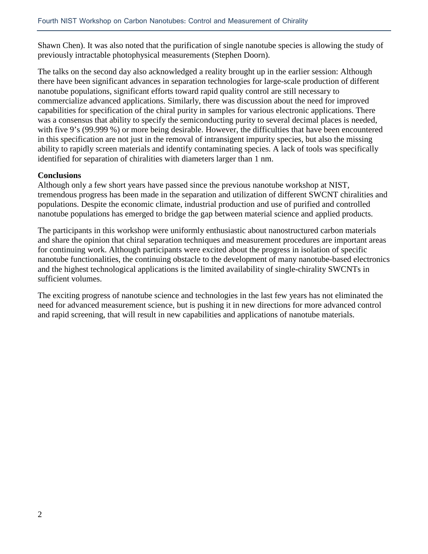Shawn Chen). It was also noted that the purification of single nanotube species is allowing the study of previously intractable photophysical measurements (Stephen Doorn).

The talks on the second day also acknowledged a reality brought up in the earlier session: Although there have been significant advances in separation technologies for large-scale production of different nanotube populations, significant efforts toward rapid quality control are still necessary to commercialize advanced applications. Similarly, there was discussion about the need for improved capabilities for specification of the chiral purity in samples for various electronic applications. There was a consensus that ability to specify the semiconducting purity to several decimal places is needed, with five 9's (99.999 %) or more being desirable. However, the difficulties that have been encountered in this specification are not just in the removal of intransigent impurity species, but also the missing ability to rapidly screen materials and identify contaminating species. A lack of tools was specifically identified for separation of chiralities with diameters larger than 1 nm.

## **Conclusions**

Although only a few short years have passed since the previous nanotube workshop at NIST, tremendous progress has been made in the separation and utilization of different SWCNT chiralities and populations. Despite the economic climate, industrial production and use of purified and controlled nanotube populations has emerged to bridge the gap between material science and applied products.

The participants in this workshop were uniformly enthusiastic about nanostructured carbon materials and share the opinion that chiral separation techniques and measurement procedures are important areas for continuing work. Although participants were excited about the progress in isolation of specific nanotube functionalities, the continuing obstacle to the development of many nanotube-based electronics and the highest technological applications is the limited availability of single-chirality SWCNTs in sufficient volumes.

The exciting progress of nanotube science and technologies in the last few years has not eliminated the need for advanced measurement science, but is pushing it in new directions for more advanced control and rapid screening, that will result in new capabilities and applications of nanotube materials.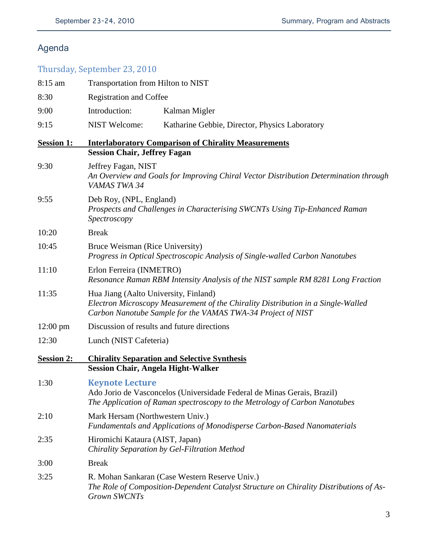# Agenda

# Thursday, September 23, 2010

| 8:15 am            | Transportation from Hilton to NIST                                                                                    |                                                                                                                                                       |  |
|--------------------|-----------------------------------------------------------------------------------------------------------------------|-------------------------------------------------------------------------------------------------------------------------------------------------------|--|
| 8:30               | <b>Registration and Coffee</b>                                                                                        |                                                                                                                                                       |  |
| 9:00               | Introduction:                                                                                                         | Kalman Migler                                                                                                                                         |  |
| 9:15               | <b>NIST Welcome:</b>                                                                                                  | Katharine Gebbie, Director, Physics Laboratory                                                                                                        |  |
| <b>Session 1:</b>  | <b>Session Chair, Jeffrey Fagan</b>                                                                                   | <b>Interlaboratory Comparison of Chirality Measurements</b>                                                                                           |  |
| 9:30               | Jeffrey Fagan, NIST<br>VAMAS TWA 34                                                                                   | An Overview and Goals for Improving Chiral Vector Distribution Determination through                                                                  |  |
| 9:55               | Deb Roy, (NPL, England)<br>Prospects and Challenges in Characterising SWCNTs Using Tip-Enhanced Raman<br>Spectroscopy |                                                                                                                                                       |  |
| 10:20              | <b>Break</b>                                                                                                          |                                                                                                                                                       |  |
| 10:45              | Bruce Weisman (Rice University)                                                                                       | Progress in Optical Spectroscopic Analysis of Single-walled Carbon Nanotubes                                                                          |  |
| 11:10              | Erlon Ferreira (INMETRO)                                                                                              | Resonance Raman RBM Intensity Analysis of the NIST sample RM 8281 Long Fraction                                                                       |  |
| 11:35              | Hua Jiang (Aalto University, Finland)                                                                                 | Electron Microscopy Measurement of the Chirality Distribution in a Single-Walled<br>Carbon Nanotube Sample for the VAMAS TWA-34 Project of NIST       |  |
| $12:00 \text{ pm}$ | Discussion of results and future directions                                                                           |                                                                                                                                                       |  |
| 12:30              | Lunch (NIST Cafeteria)                                                                                                |                                                                                                                                                       |  |
| <b>Session 2:</b>  | <b>Session Chair, Angela Hight-Walker</b>                                                                             | <b>Chirality Separation and Selective Synthesis</b>                                                                                                   |  |
| 1:30               | <b>Keynote Lecture</b>                                                                                                | Ado Jorio de Vasconcelos (Universidade Federal de Minas Gerais, Brazil)<br>The Application of Raman spectroscopy to the Metrology of Carbon Nanotubes |  |
| 2:10               | Mark Hersam (Northwestern Univ.)                                                                                      | Fundamentals and Applications of Monodisperse Carbon-Based Nanomaterials                                                                              |  |
| 2:35               | Hiromichi Kataura (AIST, Japan)                                                                                       | Chirality Separation by Gel-Filtration Method                                                                                                         |  |
| 3:00               | <b>Break</b>                                                                                                          |                                                                                                                                                       |  |
| 3:25               | Grown SWCNTs                                                                                                          | R. Mohan Sankaran (Case Western Reserve Univ.)<br>The Role of Composition-Dependent Catalyst Structure on Chirality Distributions of As-              |  |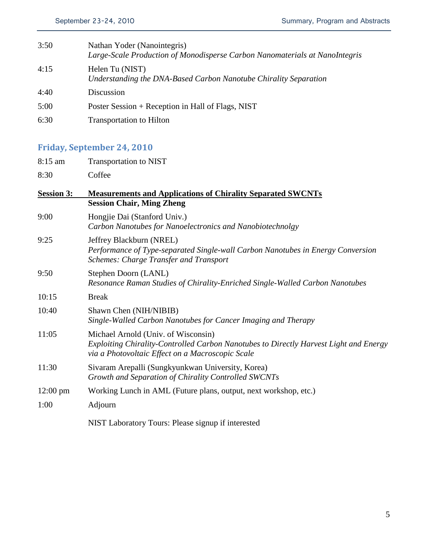| 3:50 | Nathan Yoder (Nanointegris)<br>Large-Scale Production of Monodisperse Carbon Nanomaterials at NanoIntegris |
|------|------------------------------------------------------------------------------------------------------------|
| 4:15 | Helen Tu (NIST)<br>Understanding the DNA-Based Carbon Nanotube Chirality Separation                        |
| 4:40 | Discussion                                                                                                 |
| 5:00 | Poster Session + Reception in Hall of Flags, NIST                                                          |
| 6:30 | <b>Transportation to Hilton</b>                                                                            |

# **Friday, September 24, 2010**

- 8:15 am Transportation to NIST
- 8:30 Coffee

| <b>Session 3:</b>  | <b>Measurements and Applications of Chirality Separated SWCNTs</b>                                                                                                               |  |  |
|--------------------|----------------------------------------------------------------------------------------------------------------------------------------------------------------------------------|--|--|
|                    | <b>Session Chair, Ming Zheng</b>                                                                                                                                                 |  |  |
| 9:00               | Hongjie Dai (Stanford Univ.)<br>Carbon Nanotubes for Nanoelectronics and Nanobiotechnolgy                                                                                        |  |  |
| 9:25               | Jeffrey Blackburn (NREL)<br>Performance of Type-separated Single-wall Carbon Nanotubes in Energy Conversion<br><b>Schemes: Charge Transfer and Transport</b>                     |  |  |
| 9:50               | Stephen Doorn (LANL)<br>Resonance Raman Studies of Chirality-Enriched Single-Walled Carbon Nanotubes                                                                             |  |  |
| 10:15              | <b>Break</b>                                                                                                                                                                     |  |  |
| 10:40              | Shawn Chen (NIH/NIBIB)<br>Single-Walled Carbon Nanotubes for Cancer Imaging and Therapy                                                                                          |  |  |
| 11:05              | Michael Arnold (Univ. of Wisconsin)<br>Exploiting Chirality-Controlled Carbon Nanotubes to Directly Harvest Light and Energy<br>via a Photovoltaic Effect on a Macroscopic Scale |  |  |
| 11:30              | Sivaram Arepalli (Sungkyunkwan University, Korea)<br>Growth and Separation of Chirality Controlled SWCNTs                                                                        |  |  |
| $12:00 \text{ pm}$ | Working Lunch in AML (Future plans, output, next workshop, etc.)                                                                                                                 |  |  |
| 1:00               | Adjourn                                                                                                                                                                          |  |  |
|                    | NIST Laboratory Tours: Please signup if interested                                                                                                                               |  |  |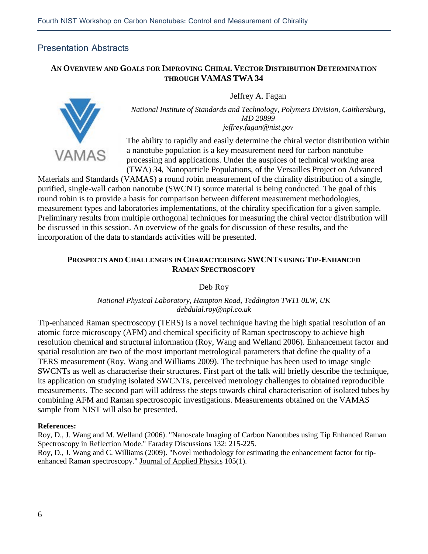## Presentation Abstracts

## **AN OVERVIEW AND GOALS FOR IMPROVING CHIRAL VECTOR DISTRIBUTION DETERMINATION THROUGH VAMAS TWA 34**

Jeffrey A. Fagan



The ability to rapidly and easily determine the chiral vector distribution within a nanotube population is a key measurement need for carbon nanotube processing and applications. Under the auspices of technical working area (TWA) 34, Nanoparticle Populations, of the Versailles Project on Advanced

Materials and Standards (VAMAS) a round robin measurement of the chirality distribution of a single, purified, single-wall carbon nanotube (SWCNT) source material is being conducted. The goal of this round robin is to provide a basis for comparison between different measurement methodologies, measurement types and laboratories implementations, of the chirality specification for a given sample. Preliminary results from multiple orthogonal techniques for measuring the chiral vector distribution will be discussed in this session. An overview of the goals for discussion of these results, and the incorporation of the data to standards activities will be presented.

## **PROSPECTS AND CHALLENGES IN CHARACTERISING SWCNTS USING TIP-ENHANCED RAMAN SPECTROSCOPY**

Deb Roy

## *National Physical Laboratory, Hampton Road, Teddington TW11 0LW, UK debdulal.roy@npl.co.uk*

Tip-enhanced Raman spectroscopy (TERS) is a novel technique having the high spatial resolution of an atomic force microscopy (AFM) and chemical specificity of Raman spectroscopy to achieve high resolution chemical and structural information (Roy, Wang and Welland 2006). Enhancement factor and spatial resolution are two of the most important metrological parameters that define the quality of a TERS measurement (Roy, Wang and Williams 2009). The technique has been used to image single SWCNTs as well as characterise their structures. First part of the talk will briefly describe the technique, its application on studying isolated SWCNTs, perceived metrology challenges to obtained reproducible measurements. The second part will address the steps towards chiral characterisation of isolated tubes by combining AFM and Raman spectroscopic investigations. Measurements obtained on the VAMAS sample from NIST will also be presented.

#### **References:**

Roy, D., J. Wang and M. Welland (2006). "Nanoscale Imaging of Carbon Nanotubes using Tip Enhanced Raman Spectroscopy in Reflection Mode." Faraday Discussions 132: 215-225. Roy, D., J. Wang and C. Williams (2009). "Novel methodology for estimating the enhancement factor for tipenhanced Raman spectroscopy." Journal of Applied Physics 105(1).

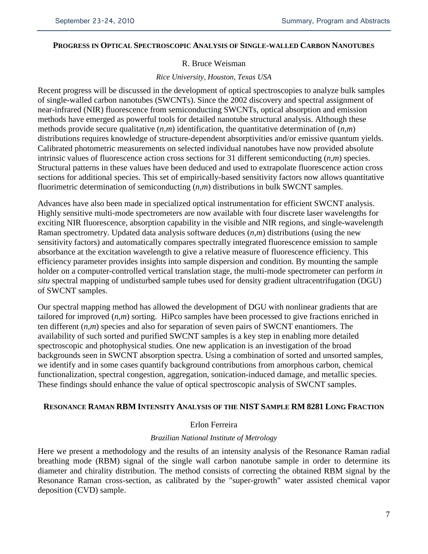## **PROGRESS IN OPTICAL SPECTROSCOPIC ANALYSIS OF SINGLE-WALLED CARBON NANOTUBES**

#### R. Bruce Weisman

#### *Rice University, Houston, Texas USA*

Recent progress will be discussed in the development of optical spectroscopies to analyze bulk samples of single-walled carbon nanotubes (SWCNTs). Since the 2002 discovery and spectral assignment of near-infrared (NIR) fluorescence from semiconducting SWCNTs, optical absorption and emission methods have emerged as powerful tools for detailed nanotube structural analysis. Although these methods provide secure qualitative (*n*,*m*) identification, the quantitative determination of (*n*,*m*) distributions requires knowledge of structure-dependent absorptivities and/or emissive quantum yields. Calibrated photometric measurements on selected individual nanotubes have now provided absolute intrinsic values of fluorescence action cross sections for 31 different semiconducting (*n*,*m*) species. Structural patterns in these values have been deduced and used to extrapolate fluorescence action cross sections for additional species. This set of empirically-based sensitivity factors now allows quantitative fluorimetric determination of semiconducting (*n*,*m*) distributions in bulk SWCNT samples.

Advances have also been made in specialized optical instrumentation for efficient SWCNT analysis. Highly sensitive multi-mode spectrometers are now available with four discrete laser wavelengths for exciting NIR fluorescence, absorption capability in the visible and NIR regions, and single-wavelength Raman spectrometry. Updated data analysis software deduces (*n*,*m*) distributions (using the new sensitivity factors) and automatically compares spectrally integrated fluorescence emission to sample absorbance at the excitation wavelength to give a relative measure of fluorescence efficiency. This efficiency parameter provides insights into sample dispersion and condition. By mounting the sample holder on a computer-controlled vertical translation stage, the multi-mode spectrometer can perform *in situ* spectral mapping of undisturbed sample tubes used for density gradient ultracentrifugation (DGU) of SWCNT samples.

Our spectral mapping method has allowed the development of DGU with nonlinear gradients that are tailored for improved (*n*,*m*) sorting. HiPco samples have been processed to give fractions enriched in ten different (*n*,*m*) species and also for separation of seven pairs of SWCNT enantiomers. The availability of such sorted and purified SWCNT samples is a key step in enabling more detailed spectroscopic and photophysical studies. One new application is an investigation of the broad backgrounds seen in SWCNT absorption spectra. Using a combination of sorted and unsorted samples, we identify and in some cases quantify background contributions from amorphous carbon, chemical functionalization, spectral congestion, aggregation, sonication-induced damage, and metallic species. These findings should enhance the value of optical spectroscopic analysis of SWCNT samples.

#### **RESONANCE RAMAN RBM INTENSITY ANALYSIS OF THE NIST SAMPLE RM 8281 LONG FRACTION**

#### Erlon Ferreira

#### *Brazilian National Institute of Metrology*

Here we present a methodology and the results of an intensity analysis of the Resonance Raman radial breathing mode (RBM) signal of the single wall carbon nanotube sample in order to determine its diameter and chirality distribution. The method consists of correcting the obtained RBM signal by the Resonance Raman cross-section, as calibrated by the "super-growth" water assisted chemical vapor deposition (CVD) sample.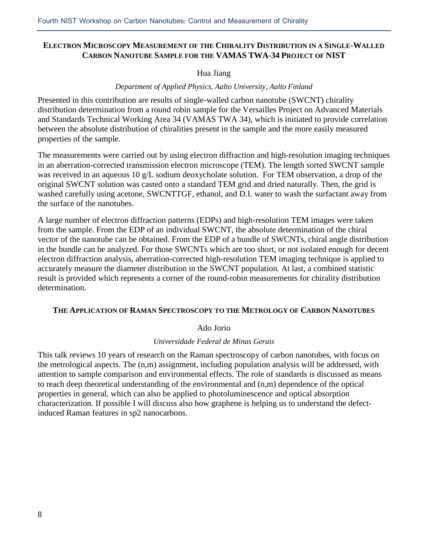## **ELECTRON MICROSCOPY MEASUREMENT OF THE CHIRALITY DISTRIBUTION IN A SINGLE-WALLED CARBON NANOTUBE SAMPLE FOR THE VAMAS TWA-34 PROJECT OF NIST**

## Hua Jiang

## *Department of Applied Physics, Aalto University, Aalto Finland*

Presented in this contribution are results of single-walled carbon nanotube (SWCNT) chirality distribution determination from a round robin sample for the Versailles Project on Advanced Materials and Standards Technical Working Area 34 (VAMAS TWA 34), which is initiated to provide correlation between the absolute distribution of chiralities present in the sample and the more easily measured properties of the sample.

The measurements were carried out by using electron diffraction and high-resolution imaging techniques in an aberration-corrected transmission electron microscope (TEM). The length sorted SWCNT sample was received in an aqueous 10 g/L sodium deoxycholate solution. For TEM observation, a drop of the original SWCNT solution was casted onto a standard TEM grid and dried naturally. Then, the grid is washed carefully using acetone, SWCNTTGF, ethanol, and D.I. water to wash the surfactant away from the surface of the nanotubes.

A large number of electron diffraction patterns (EDPs) and high-resolution TEM images were taken from the sample. From the EDP of an individual SWCNT, the absolute determination of the chiral vector of the nanotube can be obtained. From the EDP of a bundle of SWCNTs, chiral angle distribution in the bundle can be analyzed. For those SWCNTs which are too short, or not isolated enough for decent electron diffraction analysis, aberration-corrected high-resolution TEM imaging technique is applied to accurately measure the diameter distribution in the SWCNT population. At last, a combined statistic result is provided which represents a corner of the round-robin measurements for chirality distribution determination.

## **THE APPLICATION OF RAMAN SPECTROSCOPY TO THE METROLOGY OF CARBON NANOTUBES**

## Ado Jorio

## *Universidade Federal de Minas Gerais*

This talk reviews 10 years of research on the Raman spectroscopy of carbon nanotubes, with focus on the metrological aspects. The (n,m) assignment, including population analysis will be addressed, with attention to sample comparison and environmental effects. The role of standards is discussed as means to reach deep theoretical understanding of the environmental and (n,m) dependence of the optical properties in general, which can also be applied to photoluminescence and optical absorption characterization. If possible I will discuss also how graphene is helping us to understand the defectinduced Raman features in sp2 nanocarbons.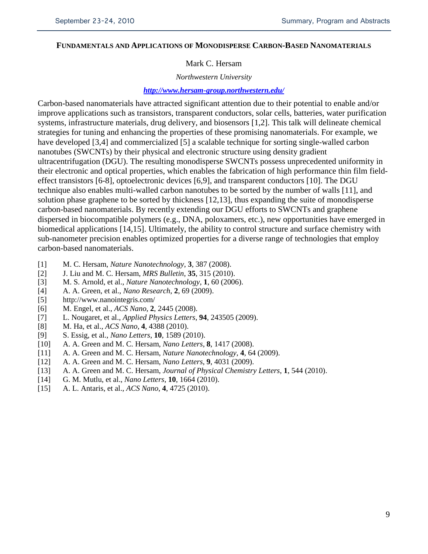#### **FUNDAMENTALS AND APPLICATIONS OF MONODISPERSE CARBON-BASED NANOMATERIALS**

## Mark C. Hersam

#### *Northwestern University*

#### *<http://www.hersam-group.northwestern.edu/>*

Carbon-based nanomaterials have attracted significant attention due to their potential to enable and/or improve applications such as transistors, transparent conductors, solar cells, batteries, water purification systems, infrastructure materials, drug delivery, and biosensors [1,2]. This talk will delineate chemical strategies for tuning and enhancing the properties of these promising nanomaterials. For example, we have developed [3,4] and commercialized [5] a scalable technique for sorting single-walled carbon nanotubes (SWCNTs) by their physical and electronic structure using density gradient ultracentrifugation (DGU). The resulting monodisperse SWCNTs possess unprecedented uniformity in their electronic and optical properties, which enables the fabrication of high performance thin film fieldeffect transistors [6-8], optoelectronic devices [6,9], and transparent conductors [10]. The DGU technique also enables multi-walled carbon nanotubes to be sorted by the number of walls [11], and solution phase graphene to be sorted by thickness [12,13], thus expanding the suite of monodisperse carbon-based nanomaterials. By recently extending our DGU efforts to SWCNTs and graphene dispersed in biocompatible polymers (e.g., DNA, poloxamers, etc.), new opportunities have emerged in biomedical applications [14,15]. Ultimately, the ability to control structure and surface chemistry with sub-nanometer precision enables optimized properties for a diverse range of technologies that employ carbon-based nanomaterials.

- [1] M. C. Hersam, *Nature Nanotechnology*, **3**, 387 (2008).
- [2] J. Liu and M. C. Hersam, *MRS Bulletin*, **35**, 315 (2010).
- [3] M. S. Arnold, et al., *Nature Nanotechnology*, **1**, 60 (2006).
- [4] A. A. Green, et al., *Nano Research*, **2**, 69 (2009).
- <http://www.nanointegris.com/>
- [6] M. Engel, et al., *ACS Nano*, **2**, 2445 (2008).
- [7] L. Nougaret, et al., *Applied Physics Letters*, **94**, 243505 (2009).
- [8] M. Ha, et al., *ACS Nano*, **4**, 4388 (2010).
- [9] S. Essig, et al., *Nano Letters*, **10**, 1589 (2010).
- [10] A. A. Green and M. C. Hersam, *Nano Letters*, **8**, 1417 (2008).
- [11] A. A. Green and M. C. Hersam, *Nature Nanotechnology*, **4**, 64 (2009).
- [12] A. A. Green and M. C. Hersam, *Nano Letters*, **9**, 4031 (2009).
- [13] A. A. Green and M. C. Hersam, *Journal of Physical Chemistry Letters*, **1**, 544 (2010).
- [14] G. M. Mutlu, et al., *Nano Letters*, **10**, 1664 (2010).
- [15] A. L. Antaris, et al., *ACS Nano*, **4**, 4725 (2010).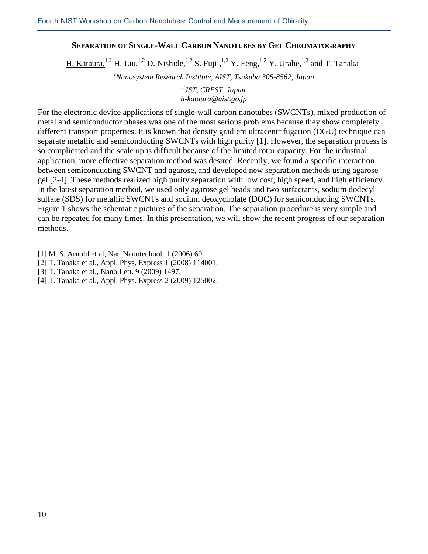## **SEPARATION OF SINGLE-WALL CARBON NANOTUBES BY GEL CHROMATOGRAPHY**

H. Kataura,<sup>1,2</sup> H. Liu,<sup>1,2</sup> D. Nishide,<sup>1,2</sup> S. Fujii,<sup>1,2</sup> Y. Feng,<sup>1,2</sup> Y. Urabe,<sup>1,2</sup> and T. Tanaka<sup>1</sup>

*1 Nanosystem Research Institute, AIST, Tsukuba 305-8562, Japan*

*2 JST, CREST, Japan [h-kataura@aist.go.jp](mailto:h-kataura@aist.go.jp)*

For the electronic device applications of single-wall carbon nanotubes (SWCNTs), mixed production of metal and semiconductor phases was one of the most serious problems because they show completely different transport properties. It is known that density gradient ultracentrifugation (DGU) technique can separate metallic and semiconducting SWCNTs with high purity [1]. However, the separation process is so complicated and the scale up is difficult because of the limited rotor capacity. For the industrial application, more effective separation method was desired. Recently, we found a specific interaction between semiconducting SWCNT and agarose, and developed new separation methods using agarose gel [2-4]. These methods realized high purity separation with low cost, high speed, and high efficiency. In the latest separation method, we used only agarose gel beads and two surfactants, sodium dodecyl sulfate (SDS) for metallic SWCNTs and sodium deoxycholate (DOC) for semiconducting SWCNTs. Figure 1 shows the schematic pictures of the separation. The separation procedure is very simple and can be repeated for many times. In this presentation, we will show the recent progress of our separation methods.

- [1] M. S. Arnold et al, Nat. Nanotechnol. 1 (2006) 60.
- [2] T. Tanaka et al., Appl. Phys. Express 1 (2008) 114001.
- [3] T. Tanaka et al., Nano Lett. 9 (2009) 1497.
- [4] T. Tanaka et al., Appl. Phys. Express 2 (2009) 125002.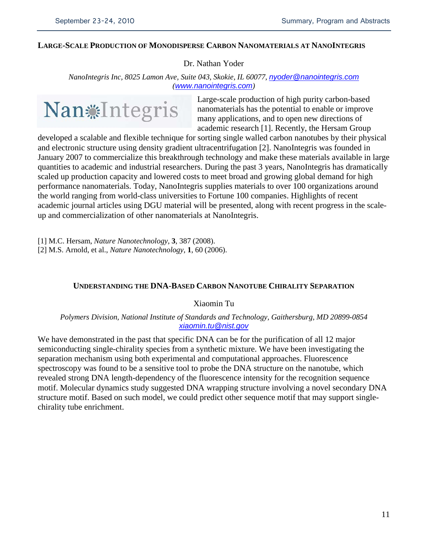#### **LARGE-SCALE PRODUCTION OF MONODISPERSE CARBON NANOMATERIALS AT NANOINTEGRIS**

Dr. Nathan Yoder

*NanoIntegris Inc, 8025 Lamon Ave, Suite 043, Skokie, IL 60077, [nyoder@nanointegris.com](mailto:nyoder@nanointegris.com) ([www.nanointegris.com](http://www.nanointegris.com/))*



Large-scale production of high purity carbon-based nanomaterials has the potential to enable or improve many applications, and to open new directions of academic research [1]. Recently, the Hersam Group

developed a scalable and flexible technique for sorting single walled carbon nanotubes by their physical and electronic structure using density gradient ultracentrifugation [2]. NanoIntegris was founded in January 2007 to commercialize this breakthrough technology and make these materials available in large quantities to academic and industrial researchers. During the past 3 years, NanoIntegris has dramatically scaled up production capacity and lowered costs to meet broad and growing global demand for high performance nanomaterials. Today, NanoIntegris supplies materials to over 100 organizations around the world ranging from world-class universities to Fortune 100 companies. Highlights of recent academic journal articles using DGU material will be presented, along with recent progress in the scaleup and commercialization of other nanomaterials at NanoIntegris.

[1] M.C. Hersam, *Nature Nanotechnology*, **3**, 387 (2008).

[2] M.S. Arnold, et al., *Nature Nanotechnology*, **1**, 60 (2006).

#### **UNDERSTANDING THE DNA-BASED CARBON NANOTUBE CHIRALITY SEPARATION**

Xiaomin Tu

*Polymers Division, National Institute of Standards and Technology, Gaithersburg, MD 20899-0854 [xiaomin.tu@nist.gov](mailto:xiaomin.tu@nist.gov)*

We have demonstrated in the past that specific DNA can be for the purification of all 12 major semiconducting single-chirality species from a synthetic mixture. We have been investigating the separation mechanism using both experimental and computational approaches. Fluorescence spectroscopy was found to be a sensitive tool to probe the DNA structure on the nanotube, which revealed strong DNA length-dependency of the fluorescence intensity for the recognition sequence motif. Molecular dynamics study suggested DNA wrapping structure involving a novel secondary DNA structure motif. Based on such model, we could predict other sequence motif that may support singlechirality tube enrichment.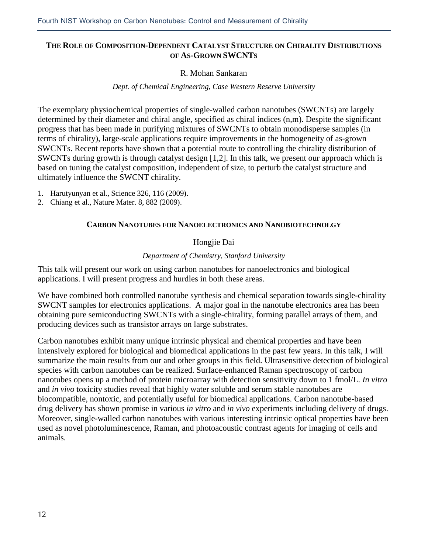## **THE ROLE OF COMPOSITION-DEPENDENT CATALYST STRUCTURE ON CHIRALITY DISTRIBUTIONS OF AS-GROWN SWCNTS**

## R. Mohan Sankaran

#### *Dept. of Chemical Engineering, Case Western Reserve University*

The exemplary physiochemical properties of single-walled carbon nanotubes (SWCNTs) are largely determined by their diameter and chiral angle, specified as chiral indices (n,m). Despite the significant progress that has been made in purifying mixtures of SWCNTs to obtain monodisperse samples (in terms of chirality), large-scale applications require improvements in the homogeneity of as-grown SWCNTs. Recent reports have shown that a potential route to controlling the chirality distribution of SWCNTs during growth is through catalyst design [1,2]. In this talk, we present our approach which is based on tuning the catalyst composition, independent of size, to perturb the catalyst structure and ultimately influence the SWCNT chirality.

- 1. Harutyunyan et al., Science 326, 116 (2009).
- 2. Chiang et al., Nature Mater. 8, 882 (2009).

## **CARBON NANOTUBES FOR NANOELECTRONICS AND NANOBIOTECHNOLGY**

## Hongjie Dai

## *Department of Chemistry, Stanford University*

This talk will present our work on using carbon nanotubes for nanoelectronics and biological applications. I will present progress and hurdles in both these areas.

We have combined both controlled nanotube synthesis and chemical separation towards single-chirality SWCNT samples for electronics applications. A major goal in the nanotube electronics area has been obtaining pure semiconducting SWCNTs with a single-chirality, forming parallel arrays of them, and producing devices such as transistor arrays on large substrates.

Carbon nanotubes exhibit many unique intrinsic physical and chemical properties and have been intensively explored for biological and biomedical applications in the past few years. In this talk, I will summarize the main results from our and other groups in this field. Ultrasensitive detection of biological species with carbon nanotubes can be realized. Surface-enhanced Raman spectroscopy of carbon nanotubes opens up a method of protein microarray with detection sensitivity down to 1 fmol/L. *In vitro*  and *in vivo* toxicity studies reveal that highly water soluble and serum stable nanotubes are biocompatible, nontoxic, and potentially useful for biomedical applications. Carbon nanotube-based drug delivery has shown promise in various *in vitro* and *in vivo* experiments including delivery of drugs. Moreover, single-walled carbon nanotubes with various interesting intrinsic optical properties have been used as novel photoluminescence, Raman, and photoacoustic contrast agents for imaging of cells and animals.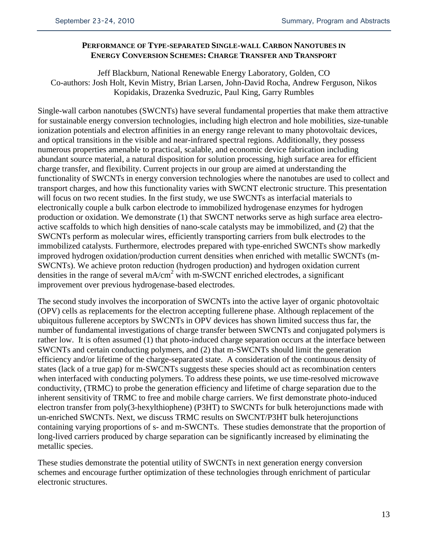## **PERFORMANCE OF TYPE-SEPARATED SINGLE-WALL CARBON NANOTUBES IN ENERGY CONVERSION SCHEMES: CHARGE TRANSFER AND TRANSPORT**

Jeff Blackburn, National Renewable Energy Laboratory, Golden, CO Co-authors: Josh Holt, Kevin Mistry, Brian Larsen, John-David Rocha, Andrew Ferguson, Nikos Kopidakis, Drazenka Svedruzic, Paul King, Garry Rumbles

Single-wall carbon nanotubes (SWCNTs) have several fundamental properties that make them attractive for sustainable energy conversion technologies, including high electron and hole mobilities, size-tunable ionization potentials and electron affinities in an energy range relevant to many photovoltaic devices, and optical transitions in the visible and near-infrared spectral regions. Additionally, they possess numerous properties amenable to practical, scalable, and economic device fabrication including abundant source material, a natural disposition for solution processing, high surface area for efficient charge transfer, and flexibility. Current projects in our group are aimed at understanding the functionality of SWCNTs in energy conversion technologies where the nanotubes are used to collect and transport charges, and how this functionality varies with SWCNT electronic structure. This presentation will focus on two recent studies. In the first study, we use SWCNTs as interfacial materials to electronically couple a bulk carbon electrode to immobilized hydrogenase enzymes for hydrogen production or oxidation. We demonstrate (1) that SWCNT networks serve as high surface area electroactive scaffolds to which high densities of nano-scale catalysts may be immobilized, and (2) that the SWCNTs perform as molecular wires, efficiently transporting carriers from bulk electrodes to the immobilized catalysts. Furthermore, electrodes prepared with type-enriched SWCNTs show markedly improved hydrogen oxidation/production current densities when enriched with metallic SWCNTs (m-SWCNTs). We achieve proton reduction (hydrogen production) and hydrogen oxidation current densities in the range of several mA/cm<sup>2</sup> with m-SWCNT enriched electrodes, a significant improvement over previous hydrogenase-based electrodes.

The second study involves the incorporation of SWCNTs into the active layer of organic photovoltaic (OPV) cells as replacements for the electron accepting fullerene phase. Although replacement of the ubiquitous fullerene acceptors by SWCNTs in OPV devices has shown limited success thus far, the number of fundamental investigations of charge transfer between SWCNTs and conjugated polymers is rather low. It is often assumed (1) that photo-induced charge separation occurs at the interface between SWCNTs and certain conducting polymers, and (2) that m-SWCNTs should limit the generation efficiency and/or lifetime of the charge-separated state. A consideration of the continuous density of states (lack of a true gap) for m-SWCNTs suggests these species should act as recombination centers when interfaced with conducting polymers. To address these points, we use time-resolved microwave conductivity, (TRMC) to probe the generation efficiency and lifetime of charge separation due to the inherent sensitivity of TRMC to free and mobile charge carriers. We first demonstrate photo-induced electron transfer from poly(3-hexylthiophene) (P3HT) to SWCNTs for bulk heterojunctions made with un-enriched SWCNTs. Next, we discuss TRMC results on SWCNT/P3HT bulk heterojunctions containing varying proportions of s- and m-SWCNTs. These studies demonstrate that the proportion of long-lived carriers produced by charge separation can be significantly increased by eliminating the metallic species.

These studies demonstrate the potential utility of SWCNTs in next generation energy conversion schemes and encourage further optimization of these technologies through enrichment of particular electronic structures.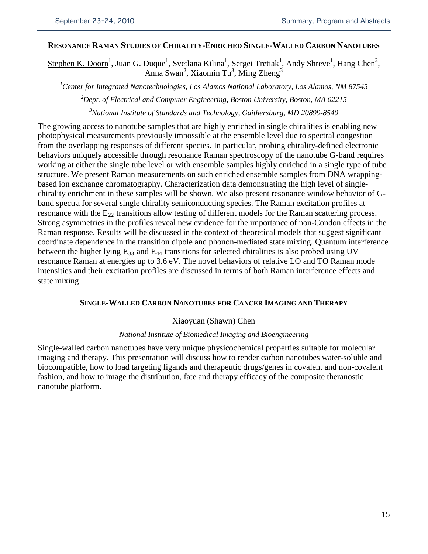## **RESONANCE RAMAN STUDIES OF CHIRALITY-ENRICHED SINGLE-WALLED CARBON NANOTUBES**

Stephen K. Doorn<sup>1</sup>, Juan G. Duque<sup>1</sup>, Svetlana Kilina<sup>1</sup>, Sergei Tretiak<sup>1</sup>, Andy Shreve<sup>1</sup>, Hang Chen<sup>2</sup>, Anna Swan<sup>2</sup>, Xiaomin Tu<sup>3</sup>, Ming Zheng<sup>3</sup>

*1 Center for Integrated Nanotechnologies, Los Alamos National Laboratory, Los Alamos, NM 87545*

*2 Dept. of Electrical and Computer Engineering, Boston University, Boston, MA 02215*

*3 National Institute of Standards and Technology, Gaithersburg, MD 20899-8540*

The growing access to nanotube samples that are highly enriched in single chiralities is enabling new photophysical measurements previously impossible at the ensemble level due to spectral congestion from the overlapping responses of different species. In particular, probing chirality-defined electronic behaviors uniquely accessible through resonance Raman spectroscopy of the nanotube G-band requires working at either the single tube level or with ensemble samples highly enriched in a single type of tube structure. We present Raman measurements on such enriched ensemble samples from DNA wrappingbased ion exchange chromatography. Characterization data demonstrating the high level of singlechirality enrichment in these samples will be shown. We also present resonance window behavior of Gband spectra for several single chirality semiconducting species. The Raman excitation profiles at resonance with the  $E_{22}$  transitions allow testing of different models for the Raman scattering process. Strong asymmetries in the profiles reveal new evidence for the importance of non-Condon effects in the Raman response. Results will be discussed in the context of theoretical models that suggest significant coordinate dependence in the transition dipole and phonon-mediated state mixing. Quantum interference between the higher lying  $E_{33}$  and  $E_{44}$  transitions for selected chiralities is also probed using UV resonance Raman at energies up to 3.6 eV. The novel behaviors of relative LO and TO Raman mode intensities and their excitation profiles are discussed in terms of both Raman interference effects and state mixing.

#### **SINGLE-WALLED CARBON NANOTUBES FOR CANCER IMAGING AND THERAPY**

#### Xiaoyuan (Shawn) Chen

## *National Institute of Biomedical Imaging and Bioengineering*

Single-walled carbon nanotubes have very unique physicochemical properties suitable for molecular imaging and therapy. This presentation will discuss how to render carbon nanotubes water-soluble and biocompatible, how to load targeting ligands and therapeutic drugs/genes in covalent and non-covalent fashion, and how to image the distribution, fate and therapy efficacy of the composite theranostic nanotube platform.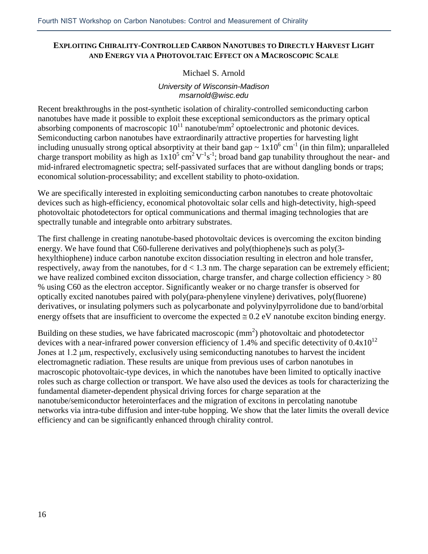## **EXPLOITING CHIRALITY-CONTROLLED CARBON NANOTUBES TO DIRECTLY HARVEST LIGHT AND ENERGY VIA A PHOTOVOLTAIC EFFECT ON A MACROSCOPIC SCALE**

## Michael S. Arnold

## *University of Wisconsin-Madison msarnold@wisc.edu*

Recent breakthroughs in the post-synthetic isolation of chirality-controlled semiconducting carbon nanotubes have made it possible to exploit these exceptional semiconductors as the primary optical absorbing components of macroscopic  $10^{11}$  nanotube/mm<sup>2</sup> optoelectronic and photonic devices. Semiconducting carbon nanotubes have extraordinarily attractive properties for harvesting light including unusually strong optical absorptivity at their band gap  $\sim 1x10^6$  cm<sup>-1</sup> (in thin film); unparalleled charge transport mobility as high as  $1x10^5$  cm<sup>2</sup>V<sup>-1</sup>s<sup>-1</sup>; broad band gap tunability throughout the near- and mid-infrared electromagnetic spectra; self-passivated surfaces that are without dangling bonds or traps; economical solution-processability; and excellent stability to photo-oxidation.

We are specifically interested in exploiting semiconducting carbon nanotubes to create photovoltaic devices such as high-efficiency, economical photovoltaic solar cells and high-detectivity, high-speed photovoltaic photodetectors for optical communications and thermal imaging technologies that are spectrally tunable and integrable onto arbitrary substrates.

The first challenge in creating nanotube-based photovoltaic devices is overcoming the exciton binding energy. We have found that C60-fullerene derivatives and poly(thiophene)s such as poly(3 hexylthiophene) induce carbon nanotube exciton dissociation resulting in electron and hole transfer, respectively, away from the nanotubes, for  $d < 1.3$  nm. The charge separation can be extremely efficient; we have realized combined exciton dissociation, charge transfer, and charge collection efficiency  $> 80$ % using C60 as the electron acceptor. Significantly weaker or no charge transfer is observed for optically excited nanotubes paired with poly(para-phenylene vinylene) derivatives, poly(fluorene) derivatives, or insulating polymers such as polycarbonate and polyvinylpyrrolidone due to band/orbital energy offsets that are insufficient to overcome the expected  $\approx 0.2$  eV nanotube exciton binding energy.

Building on these studies, we have fabricated macroscopic  $(mm<sup>2</sup>)$  photovoltaic and photodetector devices with a near-infrared power conversion efficiency of 1.4% and specific detectivity of  $0.4x10^{12}$ Jones at 1.2 μm, respectively, exclusively using semiconducting nanotubes to harvest the incident electromagnetic radiation. These results are unique from previous uses of carbon nanotubes in macroscopic photovoltaic-type devices, in which the nanotubes have been limited to optically inactive roles such as charge collection or transport. We have also used the devices as tools for characterizing the fundamental diameter-dependent physical driving forces for charge separation at the nanotube/semiconductor heterointerfaces and the migration of excitons in percolating nanotube networks via intra-tube diffusion and inter-tube hopping. We show that the later limits the overall device efficiency and can be significantly enhanced through chirality control.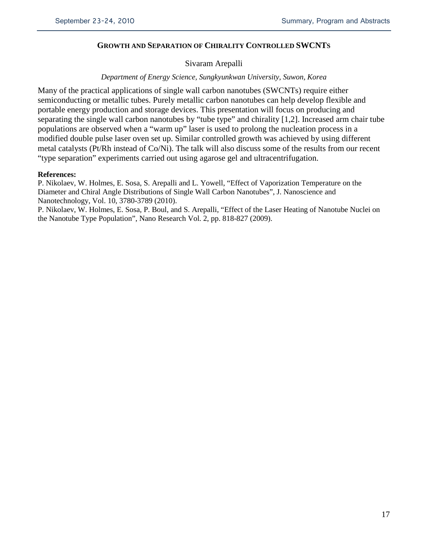## **GROWTH AND SEPARATION OF CHIRALITY CONTROLLED SWCNTS**

## Sivaram Arepalli

#### *Department of Energy Science, Sungkyunkwan University, Suwon, Korea*

Many of the practical applications of single wall carbon nanotubes (SWCNTs) require either semiconducting or metallic tubes. Purely metallic carbon nanotubes can help develop flexible and portable energy production and storage devices. This presentation will focus on producing and separating the single wall carbon nanotubes by "tube type" and chirality [1,2]. Increased arm chair tube populations are observed when a "warm up" laser is used to prolong the nucleation process in a modified double pulse laser oven set up. Similar controlled growth was achieved by using different metal catalysts (Pt/Rh instead of Co/Ni). The talk will also discuss some of the results from our recent "type separation" experiments carried out using agarose gel and ultracentrifugation.

#### **References:**

P. Nikolaev, W. Holmes, E. Sosa, S. Arepalli and L. Yowell, "Effect of Vaporization Temperature on the Diameter and Chiral Angle Distributions of Single Wall Carbon Nanotubes", J. Nanoscience and Nanotechnology, Vol. 10, 3780-3789 (2010).

P. Nikolaev, W. Holmes, E. Sosa, P. Boul, and S. Arepalli, "Effect of the Laser Heating of Nanotube Nuclei on the Nanotube Type Population", Nano Research Vol. 2, pp. 818-827 (2009).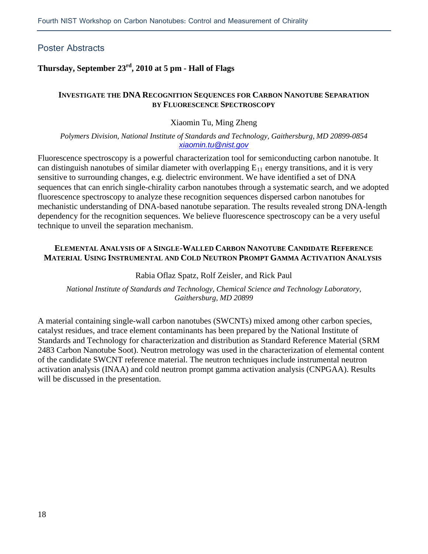## Poster Abstracts

## **Thursday, September 23rd, 2010 at 5 pm - Hall of Flags**

## **INVESTIGATE THE DNA RECOGNITION SEQUENCES FOR CARBON NANOTUBE SEPARATION BY FLUORESCENCE SPECTROSCOPY**

## Xiaomin Tu, Ming Zheng

#### *Polymers Division, National Institute of Standards and Technology, Gaithersburg, MD 20899-0854 [xiaomin.tu@nist.gov](mailto:xiaomin.tu@nist.gov)*

Fluorescence spectroscopy is a powerful characterization tool for semiconducting carbon nanotube. It can distinguish nanotubes of similar diameter with overlapping  $E_{11}$  energy transitions, and it is very sensitive to surrounding changes, e.g. dielectric environment. We have identified a set of DNA sequences that can enrich single-chirality carbon nanotubes through a systematic search, and we adopted fluorescence spectroscopy to analyze these recognition sequences dispersed carbon nanotubes for mechanistic understanding of DNA-based nanotube separation. The results revealed strong DNA-length dependency for the recognition sequences. We believe fluorescence spectroscopy can be a very useful technique to unveil the separation mechanism.

## **ELEMENTAL ANALYSIS OF A SINGLE-WALLED CARBON NANOTUBE CANDIDATE REFERENCE MATERIAL USING INSTRUMENTAL AND COLD NEUTRON PROMPT GAMMA ACTIVATION ANALYSIS**

## Rabia Oflaz Spatz, Rolf Zeisler, and Rick Paul

*National Institute of Standards and Technology, Chemical Science and Technology Laboratory, Gaithersburg, MD 20899*

A material containing single-wall carbon nanotubes (SWCNTs) mixed among other carbon species, catalyst residues, and trace element contaminants has been prepared by the National Institute of Standards and Technology for characterization and distribution as Standard Reference Material (SRM 2483 Carbon Nanotube Soot). Neutron metrology was used in the characterization of elemental content of the candidate SWCNT reference material. The neutron techniques include instrumental neutron activation analysis (INAA) and cold neutron prompt gamma activation analysis (CNPGAA). Results will be discussed in the presentation.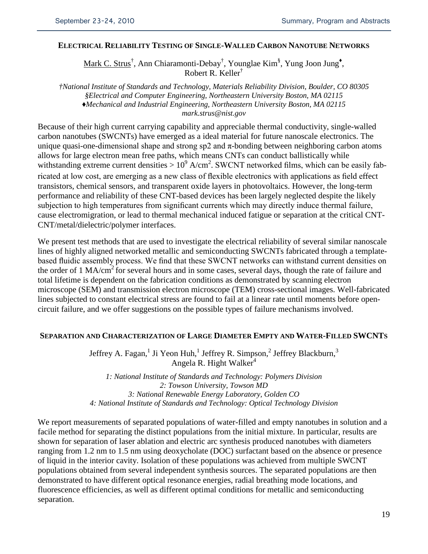## **ELECTRICAL RELIABILITY TESTING OF SINGLE-WALLED CARBON NANOTUBE NETWORKS**

Mark C. Strus<sup>†</sup>, Ann Chiaramonti-Debay<sup>†</sup>, Younglae Kim<sup>§</sup>, Yung Joon Jung<sup>◆</sup>, Robert R. Keller†

*†National Institute of Standards and Technology, Materials Reliability Division, Boulder, CO 80305 §Electrical and Computer Engineering, Northeastern University Boston, MA 02115 ♦Mechanical and Industrial Engineering, Northeastern University Boston, MA 02115 mark.strus@nist.gov*

Because of their high current carrying capability and appreciable thermal conductivity, single-walled carbon nanotubes (SWCNTs) have emerged as a ideal material for future nanoscale electronics. The unique quasi-one-dimensional shape and strong sp2 and  $\pi$ -bonding between neighboring carbon atoms allows for large electron mean free paths, which means CNTs can conduct ballistically while withstanding extreme current densities  $> 10^9$  A/cm<sup>2</sup>. SWCNT networked films, which can be easily fabricated at low cost, are emerging as a new class of flexible electronics with applications as field effect transistors, chemical sensors, and transparent oxide layers in photovoltaics. However, the long-term performance and reliability of these CNT-based devices has been largely neglected despite the likely subjection to high temperatures from significant currents which may directly induce thermal failure, cause electromigration, or lead to thermal mechanical induced fatigue or separation at the critical CNT-CNT/metal/dielectric/polymer interfaces.

We present test methods that are used to investigate the electrical reliability of several similar nanoscale lines of highly aligned networked metallic and semiconducting SWCNTs fabricated through a templatebased fluidic assembly process. We find that these SWCNT networks can withstand current densities on the order of 1 MA/cm<sup>2</sup> for several hours and in some cases, several days, though the rate of failure and total lifetime is dependent on the fabrication conditions as demonstrated by scanning electron microscope (SEM) and transmission electron microscope (TEM) cross-sectional images. Well-fabricated lines subjected to constant electrical stress are found to fail at a linear rate until moments before opencircuit failure, and we offer suggestions on the possible types of failure mechanisms involved.

## **SEPARATION AND CHARACTERIZATION OF LARGE DIAMETER EMPTY AND WATER-FILLED SWCNTS**

Jeffrey A. Fagan,<sup>1</sup> Ji Yeon Huh,<sup>1</sup> Jeffrey R. Simpson,<sup>2</sup> Jeffrey Blackburn,<sup>3</sup> Angela R. Hight Walker<sup>4</sup>

*1: National Institute of Standards and Technology: Polymers Division 2: Towson University, Towson MD 3: National Renewable Energy Laboratory, Golden CO 4: National Institute of Standards and Technology: Optical Technology Division*

We report measurements of separated populations of water-filled and empty nanotubes in solution and a facile method for separating the distinct populations from the initial mixture. In particular, results are shown for separation of laser ablation and electric arc synthesis produced nanotubes with diameters ranging from 1.2 nm to 1.5 nm using deoxycholate (DOC) surfactant based on the absence or presence of liquid in the interior cavity. Isolation of these populations was achieved from multiple SWCNT populations obtained from several independent synthesis sources. The separated populations are then demonstrated to have different optical resonance energies, radial breathing mode locations, and fluorescence efficiencies, as well as different optimal conditions for metallic and semiconducting separation.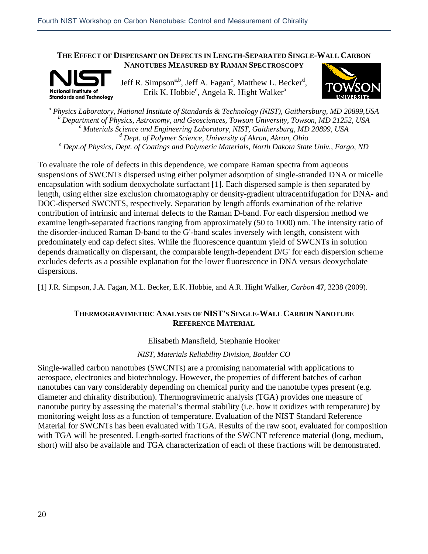#### **THE EFFECT OF DISPERSANT ON DEFECTS IN LENGTH-SEPARATED SINGLE-WALL CARBON NANOTUBES MEASURED BY RAMAN SPECTROSCOPY**



Jeff R. Simpson<sup>a,b</sup>, Jeff A. Fagan<sup>c</sup>, Matthew L. Becker<sup>d</sup>, Erik K. Hobbie<sup>e</sup>, Angela R. Hight Walker<sup>a</sup>



*<sup>a</sup> Physics Laboratory, National Institute of Standards & Technology (NIST), Gaithersburg, MD 20899,USA b Department of Physics, Astronomy, and Geosciences, Towson University, Towson, MD 21252, USA*<br><sup>*c*</sup> *Materials Science and Engineering Laboratory, NIST, Gaithersburg, MD 20899, USA*<br><sup>*d</sup> Dept. of Polymer Science, Unive</sup>* <sup>e</sup> Dept.of Physics, Dept. of Coatings and Polymeric Materials, North Dakota State Univ., Fargo, ND

To evaluate the role of defects in this dependence, we compare Raman spectra from aqueous suspensions of SWCNTs dispersed using either polymer adsorption of single-stranded DNA or micelle encapsulation with sodium deoxycholate surfactant [1]. Each dispersed sample is then separated by length, using either size exclusion chromatography or density-gradient ultracentrifugation for DNA- and DOC-dispersed SWCNTS, respectively. Separation by length affords examination of the relative contribution of intrinsic and internal defects to the Raman D-band. For each dispersion method we examine length-separated fractions ranging from approximately (50 to 1000) nm. The intensity ratio of the disorder-induced Raman D-band to the G'-band scales inversely with length, consistent with predominately end cap defect sites. While the fluorescence quantum yield of SWCNTs in solution depends dramatically on dispersant, the comparable length-dependent D/G' for each dispersion scheme excludes defects as a possible explanation for the lower fluorescence in DNA versus deoxycholate dispersions.

[1] J.R. Simpson, J.A. Fagan, M.L. Becker, E.K. Hobbie, and A.R. Hight Walker, *Carbon* **47**, 3238 (2009).

## **THERMOGRAVIMETRIC ANALYSIS OF NIST'S SINGLE-WALL CARBON NANOTUBE REFERENCE MATERIAL**

## Elisabeth Mansfield, Stephanie Hooker

*NIST, Materials Reliability Division, Boulder CO*

Single-walled carbon nanotubes (SWCNTs) are a promising nanomaterial with applications to aerospace, electronics and biotechnology. However, the properties of different batches of carbon nanotubes can vary considerably depending on chemical purity and the nanotube types present (e.g. diameter and chirality distribution). Thermogravimetric analysis (TGA) provides one measure of nanotube purity by assessing the material's thermal stability (i.e. how it oxidizes with temperature) by monitoring weight loss as a function of temperature. Evaluation of the NIST Standard Reference Material for SWCNTs has been evaluated with TGA. Results of the raw soot, evaluated for composition with TGA will be presented. Length-sorted fractions of the SWCNT reference material (long, medium, short) will also be available and TGA characterization of each of these fractions will be demonstrated.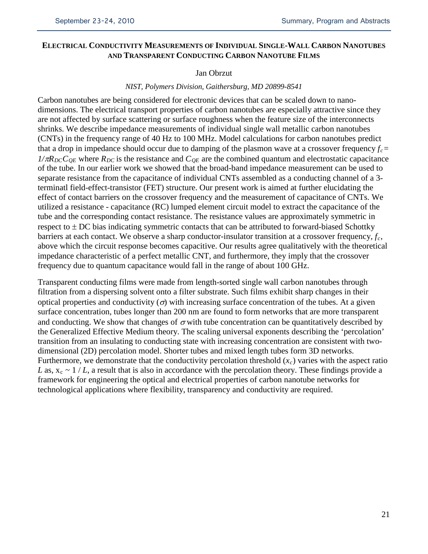## **ELECTRICAL CONDUCTIVITY MEASUREMENTS OF INDIVIDUAL SINGLE-WALL CARBON NANOTUBES AND TRANSPARENT CONDUCTING CARBON NANOTUBE FILMS**

#### Jan Obrzut

#### *NIST, Polymers Division, Gaithersburg, MD 20899-8541*

Carbon nanotubes are being considered for electronic devices that can be scaled down to nanodimensions. The electrical transport properties of carbon nanotubes are especially attractive since they are not affected by surface scattering or surface roughness when the feature size of the interconnects shrinks. We describe impedance measurements of individual single wall metallic carbon nanotubes (CNTs) in the frequency range of 40 Hz to 100 MHz. Model calculations for carbon nanotubes predict that a drop in impedance should occur due to damping of the plasmon wave at a crossover frequency  $f_c$  =  $1/\pi R_{DC}C_{OE}$  where  $R_{DC}$  is the resistance and  $C_{OE}$  are the combined quantum and electrostatic capacitance of the tube. In our earlier work we showed that the broad-band impedance measurement can be used to separate resistance from the capacitance of individual CNTs assembled as a conducting channel of a 3 terminatl field-effect-transistor (FET) structure. Our present work is aimed at further elucidating the effect of contact barriers on the crossover frequency and the measurement of capacitance of CNTs. We utilized a resistance - capacitance (RC) lumped element circuit model to extract the capacitance of the tube and the corresponding contact resistance. The resistance values are approximately symmetric in respect to  $\pm$  DC bias indicating symmetric contacts that can be attributed to forward-biased Schottky barriers at each contact. We observe a sharp conductor-insulator transition at a crossover frequency,  $f_c$ , above which the circuit response becomes capacitive. Our results agree qualitatively with the theoretical impedance characteristic of a perfect metallic CNT, and furthermore, they imply that the crossover frequency due to quantum capacitance would fall in the range of about 100 GHz.

Transparent conducting films were made from length-sorted single wall carbon nanotubes through filtration from a dispersing solvent onto a filter substrate. Such films exhibit sharp changes in their optical properties and conductivity  $(\sigma)$  with increasing surface concentration of the tubes. At a given surface concentration, tubes longer than 200 nm are found to form networks that are more transparent and conducting. We show that changes of  $\sigma$  with tube concentration can be quantitatively described by the Generalized Effective Medium theory. The scaling universal exponents describing the 'percolation' transition from an insulating to conducting state with increasing concentration are consistent with twodimensional (2D) percolation model. Shorter tubes and mixed length tubes form 3D networks. Furthermore, we demonstrate that the conductivity percolation threshold  $(x_c)$  varies with the aspect ratio *L* as,  $x_c \sim 1/L$ , a result that is also in accordance with the percolation theory. These findings provide a framework for engineering the optical and electrical properties of carbon nanotube networks for technological applications where flexibility, transparency and conductivity are required.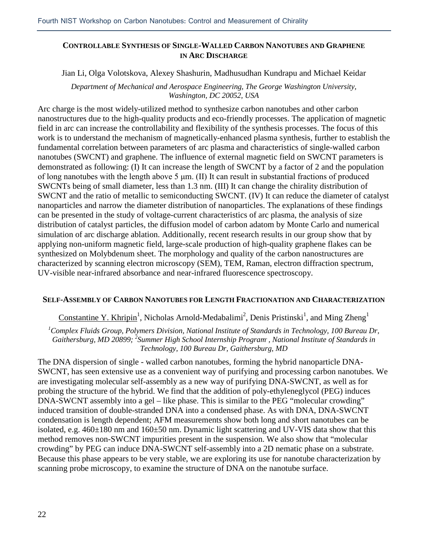## **CONTROLLABLE SYNTHESIS OF SINGLE-WALLED CARBON NANOTUBES AND GRAPHENE IN ARC DISCHARGE**

## Jian Li, Olga Volotskova, Alexey Shashurin, Madhusudhan Kundrapu and Michael Keidar

*Department of Mechanical and Aerospace Engineering, The George Washington University, Washington, DC 20052, USA*

Arc charge is the most widely-utilized method to synthesize carbon nanotubes and other carbon nanostructures due to the high-quality products and eco-friendly processes. The application of magnetic field in arc can increase the controllability and flexibility of the synthesis processes. The focus of this work is to understand the mechanism of magnetically-enhanced plasma synthesis, further to establish the fundamental correlation between parameters of arc plasma and characteristics of single-walled carbon nanotubes (SWCNT) and graphene. The influence of external magnetic field on SWCNT parameters is demonstrated as following: (I) It can increase the length of SWCNT by a factor of 2 and the population of long nanotubes with the length above 5 μm. (II) It can result in substantial fractions of produced SWCNTs being of small diameter, less than 1.3 nm. (III) It can change the chirality distribution of SWCNT and the ratio of metallic to semiconducting SWCNT. (IV) It can reduce the diameter of catalyst nanoparticles and narrow the diameter distribution of nanoparticles. The explanations of these findings can be presented in the study of voltage-current characteristics of arc plasma, the analysis of size distribution of catalyst particles, the diffusion model of carbon adatom by Monte Carlo and numerical simulation of arc discharge ablation. Additionally, recent research results in our group show that by applying non-uniform magnetic field, large-scale production of high-quality graphene flakes can be synthesized on Molybdenum sheet. The morphology and quality of the carbon nanostructures are characterized by scanning electron microscopy (SEM), TEM, Raman, electron diffraction spectrum, UV-visible near-infrared absorbance and near-infrared fluorescence spectroscopy.

## **SELF-ASSEMBLY OF CARBON NANOTUBES FOR LENGTH FRACTIONATION AND CHARACTERIZATION**

Constantine Y. Khripin<sup>1</sup>, Nicholas Arnold-Medabalimi<sup>2</sup>, Denis Pristinski<sup>1</sup>, and Ming Zheng<sup>1</sup>

*1 Complex Fluids Group, Polymers Division, National Institute of Standards in Technology, 100 Bureau Dr,*  Gaithersburg, MD 20899; <sup>2</sup>Summer High School Internship Program<sup>,</sup> , National Institute of Standards in *Technology, 100 Bureau Dr, Gaithersburg, MD*

The DNA dispersion of single - walled carbon nanotubes, forming the hybrid nanoparticle DNA-SWCNT, has seen extensive use as a convenient way of purifying and processing carbon nanotubes. We are investigating molecular self-assembly as a new way of purifying DNA-SWCNT, as well as for probing the structure of the hybrid. We find that the addition of poly-ethyleneglycol (PEG) induces DNA-SWCNT assembly into a gel – like phase. This is similar to the PEG "molecular crowding" induced transition of double-stranded DNA into a condensed phase. As with DNA, DNA-SWCNT condensation is length dependent; AFM measurements show both long and short nanotubes can be isolated, e.g. 460±180 nm and 160±50 nm. Dynamic light scattering and UV-VIS data show that this method removes non-SWCNT impurities present in the suspension. We also show that "molecular crowding" by PEG can induce DNA-SWCNT self-assembly into a 2D nematic phase on a substrate. Because this phase appears to be very stable, we are exploring its use for nanotube characterization by scanning probe microscopy, to examine the structure of DNA on the nanotube surface.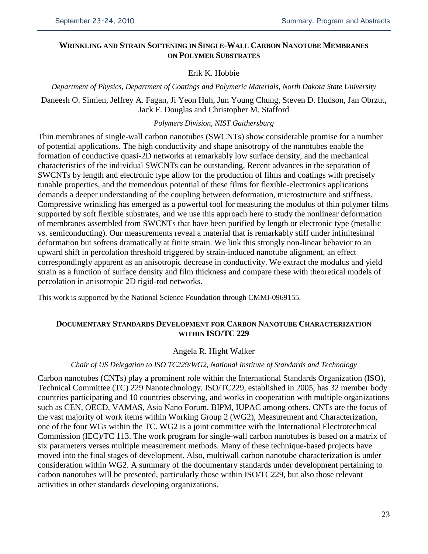## **WRINKLING AND STRAIN SOFTENING IN SINGLE-WALL CARBON NANOTUBE MEMBRANES ON POLYMER SUBSTRATES**

## Erik K. Hobbie

*Department of Physics, Department of Coatings and Polymeric Materials, North Dakota State University*

Daneesh O. Simien, Jeffrey A. Fagan, Ji Yeon Huh, Jun Young Chung, Steven D. Hudson, Jan Obrzut, Jack F. Douglas and Christopher M. Stafford

## *Polymers Division, NIST Gaithersburg*

Thin membranes of single-wall carbon nanotubes (SWCNTs) show considerable promise for a number of potential applications. The high conductivity and shape anisotropy of the nanotubes enable the formation of conductive quasi-2D networks at remarkably low surface density, and the mechanical characteristics of the individual SWCNTs can be outstanding. Recent advances in the separation of SWCNTs by length and electronic type allow for the production of films and coatings with precisely tunable properties, and the tremendous potential of these films for flexible-electronics applications demands a deeper understanding of the coupling between deformation, microstructure and stiffness. Compressive wrinkling has emerged as a powerful tool for measuring the modulus of thin polymer films supported by soft flexible substrates, and we use this approach here to study the nonlinear deformation of membranes assembled from SWCNTs that have been purified by length or electronic type (metallic vs. semiconducting). Our measurements reveal a material that is remarkably stiff under infinitesimal deformation but softens dramatically at finite strain. We link this strongly non-linear behavior to an upward shift in percolation threshold triggered by strain-induced nanotube alignment, an effect correspondingly apparent as an anisotropic decrease in conductivity. We extract the modulus and yield strain as a function of surface density and film thickness and compare these with theoretical models of percolation in anisotropic 2D rigid-rod networks.

This work is supported by the National Science Foundation through CMMI-0969155.

## **DOCUMENTARY STANDARDS DEVELOPMENT FOR CARBON NANOTUBE CHARACTERIZATION WITHIN ISO/TC 229**

#### Angela R. Hight Walker

#### *Chair of US Delegation to ISO TC229/WG2, National Institute of Standards and Technology*

Carbon nanotubes (CNTs) play a prominent role within the International Standards Organization (ISO), Technical Committee (TC) 229 Nanotechnology. ISO/TC229, established in 2005, has 32 member body countries participating and 10 countries observing, and works in cooperation with multiple organizations such as CEN, OECD, VAMAS, Asia Nano Forum, BIPM, IUPAC among others. CNTs are the focus of the vast majority of work items within Working Group 2 (WG2), Measurement and Characterization, one of the four WGs within the TC. WG2 is a joint committee with the International Electrotechnical Commission (IEC)/TC 113. The work program for single-wall carbon nanotubes is based on a matrix of six parameters verses multiple measurement methods. Many of these technique-based projects have moved into the final stages of development. Also, multiwall carbon nanotube characterization is under consideration within WG2. A summary of the documentary standards under development pertaining to carbon nanotubes will be presented, particularly those within ISO/TC229, but also those relevant activities in other standards developing organizations.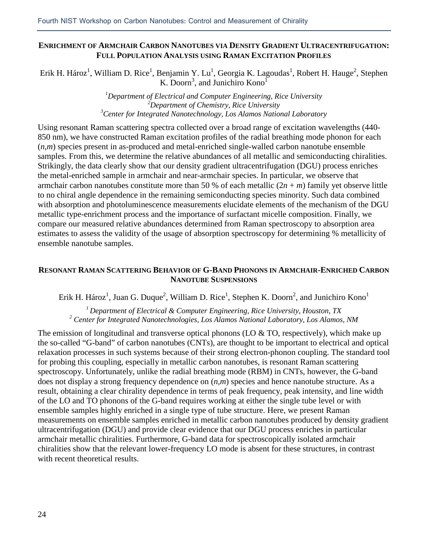## **ENRICHMENT OF ARMCHAIR CARBON NANOTUBES VIA DENSITY GRADIENT ULTRACENTRIFUGATION: FULL POPULATION ANALYSIS USING RAMAN EXCITATION PROFILES**

Erik H. Hároz<sup>1</sup>, William D. Rice<sup>1</sup>, Benjamin Y. Lu<sup>1</sup>, Georgia K. Lagoudas<sup>1</sup>, Robert H. Hauge<sup>2</sup>, Stephen K. Doorn<sup>3</sup>, and Junichiro Kono<sup>1</sup>

> *1 Department of Electrical and Computer Engineering, Rice University 2 Department of Chemistry, Rice University 3 Center for Integrated Nanotechnology, Los Alamos National Laboratory*

Using resonant Raman scattering spectra collected over a broad range of excitation wavelengths (440- 850 nm), we have constructed Raman excitation profiles of the radial breathing mode phonon for each (*n,m*) species present in as-produced and metal-enriched single-walled carbon nanotube ensemble samples. From this, we determine the relative abundances of all metallic and semiconducting chiralities. Strikingly, the data clearly show that our density gradient ultracentrifugation (DGU) process enriches the metal-enriched sample in armchair and near-armchair species. In particular, we observe that armchair carbon nanotubes constitute more than 50 % of each metallic  $(2n + m)$  family yet observe little to no chiral angle dependence in the remaining semiconducting species minority. Such data combined with absorption and photoluminescence measurements elucidate elements of the mechanism of the DGU metallic type-enrichment process and the importance of surfactant micelle composition. Finally, we compare our measured relative abundances determined from Raman spectroscopy to absorption area estimates to assess the validity of the usage of absorption spectroscopy for determining % metallicity of ensemble nanotube samples.

## **RESONANT RAMAN SCATTERING BEHAVIOR OF G-BAND PHONONS IN ARMCHAIR-ENRICHED CARBON NANOTUBE SUSPENSIONS**

Erik H. Hároz<sup>1</sup>, Juan G. Duque<sup>2</sup>, William D. Rice<sup>1</sup>, Stephen K. Doorn<sup>2</sup>, and Junichiro Kono<sup>1</sup>

*1 Department of Electrical & Computer Engineering, Rice University, Houston, TX <sup>2</sup> Center for Integrated Nanotechnologies, Los Alamos National Laboratory, Los Alamos, NM*

The emission of longitudinal and transverse optical phonons (LO & TO, respectively), which make up the so-called "G-band" of carbon nanotubes (CNTs), are thought to be important to electrical and optical relaxation processes in such systems because of their strong electron-phonon coupling. The standard tool for probing this coupling, especially in metallic carbon nanotubes, is resonant Raman scattering spectroscopy. Unfortunately, unlike the radial breathing mode (RBM) in CNTs, however, the G-band does not display a strong frequency dependence on (*n,m*) species and hence nanotube structure. As a result, obtaining a clear chirality dependence in terms of peak frequency, peak intensity, and line width of the LO and TO phonons of the G-band requires working at either the single tube level or with ensemble samples highly enriched in a single type of tube structure. Here, we present Raman measurements on ensemble samples enriched in metallic carbon nanotubes produced by density gradient ultracentrifugation (DGU) and provide clear evidence that our DGU process enriches in particular armchair metallic chiralities. Furthermore, G-band data for spectroscopically isolated armchair chiralities show that the relevant lower-frequency LO mode is absent for these structures, in contrast with recent theoretical results.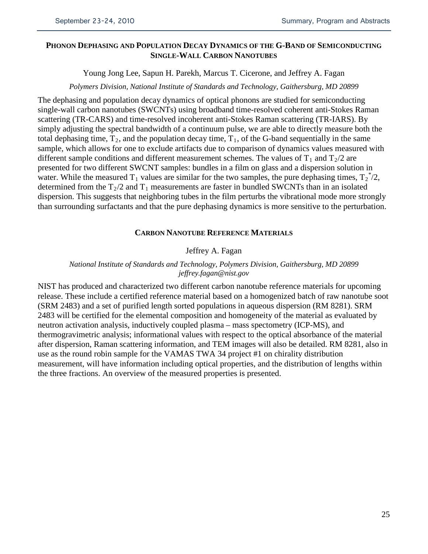## **PHONON DEPHASING AND POPULATION DECAY DYNAMICS OF THE G-BAND OF SEMICONDUCTING SINGLE-WALL CARBON NANOTUBES**

Young Jong Lee, Sapun H. Parekh, Marcus T. Cicerone, and Jeffrey A. Fagan

#### *Polymers Division, National Institute of Standards and Technology, Gaithersburg, MD 20899*

The dephasing and population decay dynamics of optical phonons are studied for semiconducting single-wall carbon nanotubes (SWCNTs) using broadband time-resolved coherent anti-Stokes Raman scattering (TR-CARS) and time-resolved incoherent anti-Stokes Raman scattering (TR-IARS). By simply adjusting the spectral bandwidth of a continuum pulse, we are able to directly measure both the total dephasing time,  $T_2$ , and the population decay time,  $T_1$ , of the G-band sequentially in the same sample, which allows for one to exclude artifacts due to comparison of dynamics values measured with different sample conditions and different measurement schemes. The values of  $T_1$  and  $T_2/2$  are presented for two different SWCNT samples: bundles in a film on glass and a dispersion solution in water. While the measured  $T_1$  values are similar for the two samples, the pure dephasing times,  $T_2^{\ast}/2$ , determined from the  $T_2/2$  and  $T_1$  measurements are faster in bundled SWCNTs than in an isolated dispersion. This suggests that neighboring tubes in the film perturbs the vibrational mode more strongly than surrounding surfactants and that the pure dephasing dynamics is more sensitive to the perturbation.

## **CARBON NANOTUBE REFERENCE MATERIALS**

## Jeffrey A. Fagan

## *National Institute of Standards and Technology, Polymers Division, Gaithersburg, MD 20899 jeffrey.fagan@nist.gov*

NIST has produced and characterized two different carbon nanotube reference materials for upcoming release. These include a certified reference material based on a homogenized batch of raw nanotube soot (SRM 2483) and a set of purified length sorted populations in aqueous dispersion (RM 8281). SRM 2483 will be certified for the elemental composition and homogeneity of the material as evaluated by neutron activation analysis, inductively coupled plasma – mass spectometry (ICP-MS), and thermogravimetric analysis; informational values with respect to the optical absorbance of the material after dispersion, Raman scattering information, and TEM images will also be detailed. RM 8281, also in use as the round robin sample for the VAMAS TWA 34 project #1 on chirality distribution measurement, will have information including optical properties, and the distribution of lengths within the three fractions. An overview of the measured properties is presented.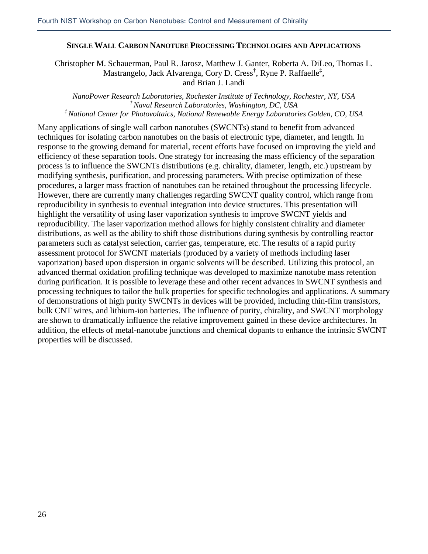## **SINGLE WALL CARBON NANOTUBE PROCESSING TECHNOLOGIES AND APPLICATIONS**

Christopher M. Schauerman, Paul R. Jarosz, Matthew J. Ganter, Roberta A. DiLeo, Thomas L. Mastrangelo, Jack Alvarenga, Cory D. Cress<sup>†</sup>, Ryne P. Raffaelle<sup>‡</sup>, and Brian J. Landi

*NanoPower Research Laboratories, Rochester Institute of Technology, Rochester, NY, USA † Naval Research Laboratories, Washington, DC, USA ‡ National Center for Photovoltaics, National Renewable Energy Laboratories Golden, CO, USA*

Many applications of single wall carbon nanotubes (SWCNTs) stand to benefit from advanced techniques for isolating carbon nanotubes on the basis of electronic type, diameter, and length. In response to the growing demand for material, recent efforts have focused on improving the yield and efficiency of these separation tools. One strategy for increasing the mass efficiency of the separation process is to influence the SWCNTs distributions (e.g. chirality, diameter, length, etc.) upstream by modifying synthesis, purification, and processing parameters. With precise optimization of these procedures, a larger mass fraction of nanotubes can be retained throughout the processing lifecycle. However, there are currently many challenges regarding SWCNT quality control, which range from reproducibility in synthesis to eventual integration into device structures. This presentation will highlight the versatility of using laser vaporization synthesis to improve SWCNT yields and reproducibility. The laser vaporization method allows for highly consistent chirality and diameter distributions, as well as the ability to shift those distributions during synthesis by controlling reactor parameters such as catalyst selection, carrier gas, temperature, etc. The results of a rapid purity assessment protocol for SWCNT materials (produced by a variety of methods including laser vaporization) based upon dispersion in organic solvents will be described. Utilizing this protocol, an advanced thermal oxidation profiling technique was developed to maximize nanotube mass retention during purification. It is possible to leverage these and other recent advances in SWCNT synthesis and processing techniques to tailor the bulk properties for specific technologies and applications. A summary of demonstrations of high purity SWCNTs in devices will be provided, including thin-film transistors, bulk CNT wires, and lithium-ion batteries. The influence of purity, chirality, and SWCNT morphology are shown to dramatically influence the relative improvement gained in these device architectures. In addition, the effects of metal-nanotube junctions and chemical dopants to enhance the intrinsic SWCNT properties will be discussed.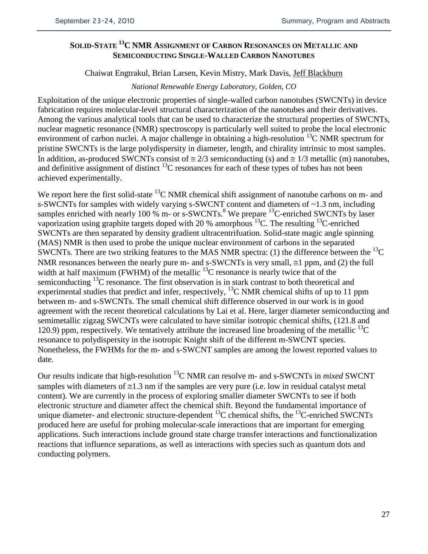## **SOLID-STATE 13C NMR ASSIGNMENT OF CARBON RESONANCES ON METALLIC AND SEMICONDUCTING SINGLE-WALLED CARBON NANOTUBES**

## Chaiwat Engtrakul, Brian Larsen, Kevin Mistry, Mark Davis, Jeff Blackburn

## *National Renewable Energy Laboratory, Golden, CO*

Exploitation of the unique electronic properties of single-walled carbon nanotubes (SWCNTs) in device fabrication requires molecular-level structural characterization of the nanotubes and their derivatives. Among the various analytical tools that can be used to characterize the structural properties of SWCNTs, nuclear magnetic resonance (NMR) spectroscopy is particularly well suited to probe the local electronic environment of carbon nuclei. A major challenge in obtaining a high-resolution  $^{13}$ C NMR spectrum for pristine SWCNTs is the large polydispersity in diameter, length, and chirality intrinsic to most samples. In addition, as-produced SWCNTs consist of  $\approx 2/3$  semiconducting (s) and  $\approx 1/3$  metallic (m) nanotubes, and definitive assignment of distinct  $^{13}$ C resonances for each of these types of tubes has not been achieved experimentally.

We report here the first solid-state  ${}^{13}$ C NMR chemical shift assignment of nanotube carbons on m- and s-SWCNTs for samples with widely varying s-SWCNT content and diameters of ~1.3 nm, including samples enriched with nearly 100 % m- or s-SWCNTs.<sup>8</sup> We prepare  $^{13}$ C-enriched SWCNTs by laser vaporization using graphite targets doped with 20 % amorphous  $^{13}$ C. The resulting  $^{13}$ C-enriched SWCNTs are then separated by density gradient ultracentrifuation. Solid-state magic angle spinning (MAS) NMR is then used to probe the unique nuclear environment of carbons in the separated SWCNTs. There are two striking features to the MAS NMR spectra: (1) the difference between the  ${}^{13}C$ NMR resonances between the nearly pure m- and s-SWCNTs is very small,  $\approx$  1 ppm, and (2) the full width at half maximum (FWHM) of the metallic  $^{13}$ C resonance is nearly twice that of the semiconducting  $^{13}$ C resonance. The first observation is in stark contrast to both theoretical and experimental studies that predict and infer, respectively,  ${}^{13}$ C NMR chemical shifts of up to 11 ppm between m- and s-SWCNTs. The small chemical shift difference observed in our work is in good agreement with the recent theoretical calculations by Lai et al. Here, larger diameter semiconducting and semimetallic zigzag SWCNTs were calculated to have similar isotropic chemical shifts, (121.8 and 120.9) ppm, respectively. We tentatively attribute the increased line broadening of the metallic  ${}^{13}C$ resonance to polydispersity in the isotropic Knight shift of the different m-SWCNT species. Nonetheless, the FWHMs for the m- and s-SWCNT samples are among the lowest reported values to date.

Our results indicate that high-resolution 13C NMR can resolve m- and s-SWCNTs in *mixed* SWCNT samples with diameters of  $\leq 1.3$  nm if the samples are very pure (i.e. low in residual catalyst metal content). We are currently in the process of exploring smaller diameter SWCNTs to see if both electronic structure and diameter affect the chemical shift. Beyond the fundamental importance of unique diameter- and electronic structure-dependent <sup>13</sup>C chemical shifts, the <sup>13</sup>C-enriched SWCNTs produced here are useful for probing molecular-scale interactions that are important for emerging applications. Such interactions include ground state charge transfer interactions and functionalization reactions that influence separations, as well as interactions with species such as quantum dots and conducting polymers.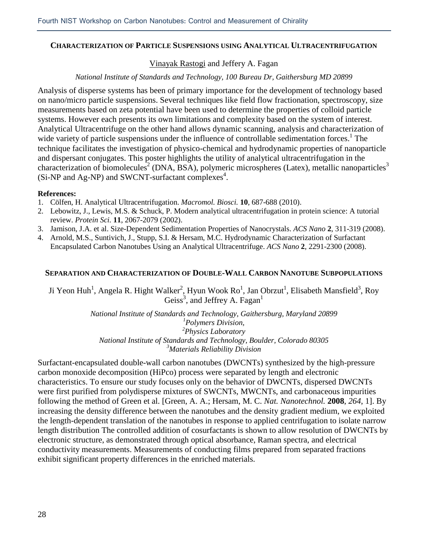#### **CHARACTERIZATION OF PARTICLE SUSPENSIONS USING ANALYTICAL ULTRACENTRIFUGATION**

## Vinayak Rastogi and Jeffery A. Fagan

#### *National Institute of Standards and Technology, 100 Bureau Dr, Gaithersburg MD 20899*

Analysis of disperse systems has been of primary importance for the development of technology based on nano/micro particle suspensions. Several techniques like field flow fractionation, spectroscopy, size measurements based on zeta potential have been used to determine the properties of colloid particle systems. However each presents its own limitations and complexity based on the system of interest. Analytical Ultracentrifuge on the other hand allows dynamic scanning, analysis and characterization of wide variety of particle suspensions under the influence of controllable sedimentation forces.<sup>1</sup> The technique facilitates the investigation of physico-chemical and hydrodynamic properties of nanoparticle and dispersant conjugates. This poster highlights the utility of analytical ultracentrifugation in the characterization of biomolecules<sup>2</sup> (DNA, BSA), polymeric microspheres (Latex), metallic nanoparticles<sup>3</sup> (Si-NP and Ag-NP) and SWCNT-surfactant complexes<sup>4</sup>.

#### **References:**

- 1. Cölfen, H. Analytical Ultracentrifugation. *Macromol. Biosci.* **10**, 687-688 (2010).
- 2. Lebowitz, J., Lewis, M.S. & Schuck, P. Modern analytical ultracentrifugation in protein science: A tutorial review. *Protein Sci.* **11**, 2067-2079 (2002).
- 3. Jamison, J.A. et al. Size-Dependent Sedimentation Properties of Nanocrystals. *ACS Nano* **2**, 311-319 (2008).
- 4. Arnold, M.S., Suntivich, J., Stupp, S.I. & Hersam, M.C. Hydrodynamic Characterization of Surfactant Encapsulated Carbon Nanotubes Using an Analytical Ultracentrifuge. *ACS Nano* **2**, 2291-2300 (2008).

#### **SEPARATION AND CHARACTERIZATION OF DOUBLE-WALL CARBON NANOTUBE SUBPOPULATIONS**

Ji Yeon Huh<sup>1</sup>, Angela R. Hight Walker<sup>2</sup>, Hyun Wook Ro<sup>1</sup>, Jan Obrzut<sup>1</sup>, Elisabeth Mansfield<sup>3</sup>, Roy Geiss<sup>3</sup>, and Jeffrey A. Fagan<sup>1</sup>

> *National Institute of Standards and Technology, Gaithersburg, Maryland 20899 1 Polymers Division, 2 Physics Laboratory National Institute of Standards and Technology, Boulder, Colorado 80305 3 Materials Reliability Division*

Surfactant-encapsulated double-wall carbon nanotubes (DWCNTs) synthesized by the high-pressure carbon monoxide decomposition (HiPco) process were separated by length and electronic characteristics. To ensure our study focuses only on the behavior of DWCNTs, dispersed DWCNTs were first purified from polydisperse mixtures of SWCNTs, MWCNTs, and carbonaceous impurities following the method of Green et al. [Green, A. A.; Hersam, M. C. *Nat. Nanotechnol.* **2008**, *264*, 1]. By increasing the density difference between the nanotubes and the density gradient medium, we exploited the length-dependent translation of the nanotubes in response to applied centrifugation to isolate narrow length distribution The controlled addition of cosurfactants is shown to allow resolution of DWCNTs by electronic structure, as demonstrated through optical absorbance, Raman spectra, and electrical conductivity measurements. Measurements of conducting films prepared from separated fractions exhibit significant property differences in the enriched materials.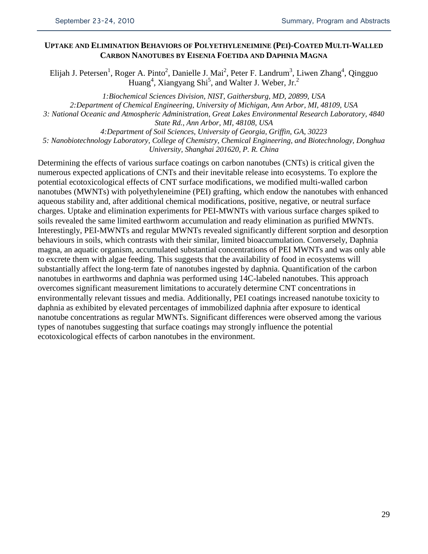## **UPTAKE AND ELIMINATION BEHAVIORS OF POLYETHYLENEIMINE (PEI)-COATED MULTI-WALLED CARBON NANOTUBES BY EISENIA FOETIDA AND DAPHNIA MAGNA**

Elijah J. Petersen<sup>1</sup>, Roger A. Pinto<sup>2</sup>, Danielle J. Mai<sup>2</sup>, Peter F. Landrum<sup>3</sup>, Liwen Zhang<sup>4</sup>, Qingguo Huang<sup>4</sup>, Xiangyang Shi<sup>5</sup>, and Walter J. Weber, Jr.<sup>2</sup>

*1:Biochemical Sciences Division, NIST, Gaithersburg, MD, 20899, USA 2:Department of Chemical Engineering, University of Michigan, Ann Arbor, MI, 48109, USA 3: National Oceanic and Atmospheric Administration, Great Lakes Environmental Research Laboratory, 4840 State Rd., Ann Arbor, MI, 48108, USA*

*4:Department of Soil Sciences, University of Georgia, Griffin, GA, 30223*

*5: Nanobiotechnology Laboratory, College of Chemistry, Chemical Engineering, and Biotechnology, Donghua* 

*University, Shanghai 201620, P. R. China*

Determining the effects of various surface coatings on carbon nanotubes (CNTs) is critical given the numerous expected applications of CNTs and their inevitable release into ecosystems. To explore the potential ecotoxicological effects of CNT surface modifications, we modified multi-walled carbon nanotubes (MWNTs) with polyethyleneimine (PEI) grafting, which endow the nanotubes with enhanced aqueous stability and, after additional chemical modifications, positive, negative, or neutral surface charges. Uptake and elimination experiments for PEI-MWNTs with various surface charges spiked to soils revealed the same limited earthworm accumulation and ready elimination as purified MWNTs. Interestingly, PEI-MWNTs and regular MWNTs revealed significantly different sorption and desorption behaviours in soils, which contrasts with their similar, limited bioaccumulation. Conversely, Daphnia magna, an aquatic organism, accumulated substantial concentrations of PEI MWNTs and was only able to excrete them with algae feeding. This suggests that the availability of food in ecosystems will substantially affect the long-term fate of nanotubes ingested by daphnia. Quantification of the carbon nanotubes in earthworms and daphnia was performed using 14C-labeled nanotubes. This approach overcomes significant measurement limitations to accurately determine CNT concentrations in environmentally relevant tissues and media. Additionally, PEI coatings increased nanotube toxicity to daphnia as exhibited by elevated percentages of immobilized daphnia after exposure to identical nanotube concentrations as regular MWNTs. Significant differences were observed among the various types of nanotubes suggesting that surface coatings may strongly influence the potential ecotoxicological effects of carbon nanotubes in the environment.